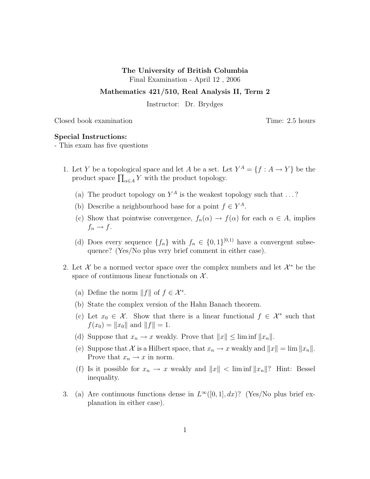## The University of British Columbia

Final Examination - April 12 , 2006

## Mathematics 421/510, Real Analysis II, Term 2

Instructor: Dr. Brydges

Closed book examination Time: 2.5 hours

## Special Instructions:

- This exam has five questions

- 1. Let Y be a topological space and let A be a set. Let  $Y^A = \{f : A \to Y\}$  be the product space  $\prod_{\alpha \in A} Y$  with the product topology.
	- (a) The product topology on  $Y^A$  is the weakest topology such that ...?
	- (b) Describe a neighbourhood base for a point  $f \in Y^A$ .
	- (c) Show that pointwise convergence,  $f_n(\alpha) \to f(\alpha)$  for each  $\alpha \in A$ , implies  $f_n \to f$ .
	- (d) Does every sequence  $\{f_n\}$  with  $f_n \in \{0,1\}^{[0,1)}$  have a convergent subsequence? (Yes/No plus very brief comment in either case).
- 2. Let X be a normed vector space over the complex numbers and let  $\mathcal{X}^*$  be the space of continuous linear functionals on  $\mathcal{X}$ .
	- (a) Define the norm  $||f||$  of  $f \in \mathcal{X}^*$ .
	- (b) State the complex version of the Hahn Banach theorem.
	- (c) Let  $x_0 \in \mathcal{X}$ . Show that there is a linear functional  $f \in \mathcal{X}^*$  such that  $f(x_0) = ||x_0||$  and  $||f|| = 1$ .
	- (d) Suppose that  $x_n \to x$  weakly. Prove that  $||x|| \leq \liminf ||x_n||$ .
	- (e) Suppose that X is a Hilbert space, that  $x_n \to x$  weakly and  $||x|| = \lim ||x_n||$ . Prove that  $x_n \to x$  in norm.
	- (f) Is it possible for  $x_n \to x$  weakly and  $||x|| < \liminf ||x_n||$ ? Hint: Bessel inequality.
- 3. (a) Are continuous functions dense in  $L^{\infty}([0,1], dx)$ ? (Yes/No plus brief explanation in either case).